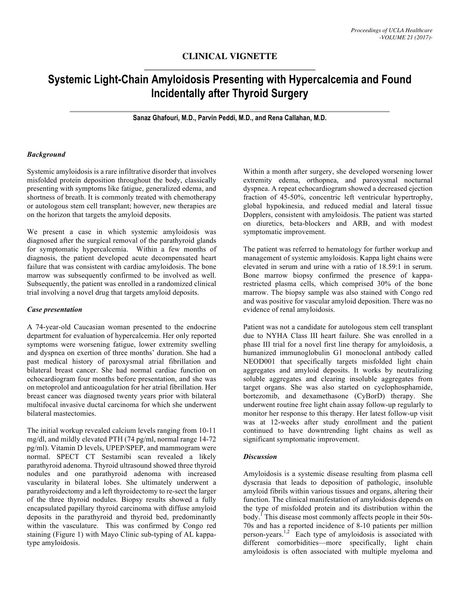# **CLINICAL VIGNETTE**

# **Systemic Light-Chain Amyloidosis Presenting with Hypercalcemia and Found Incidentally after Thyroid Surgery**

**Sanaz Ghafouri, M.D., Parvin Peddi, M.D., and Rena Callahan, M.D.**

#### *Background*

Systemic amyloidosis is a rare infiltrative disorder that involves misfolded protein deposition throughout the body, classically presenting with symptoms like fatigue, generalized edema, and shortness of breath. It is commonly treated with chemotherapy or autologous stem cell transplant; however, new therapies are on the horizon that targets the amyloid deposits.

We present a case in which systemic amyloidosis was diagnosed after the surgical removal of the parathyroid glands for symptomatic hypercalcemia. Within a few months of diagnosis, the patient developed acute decompensated heart failure that was consistent with cardiac amyloidosis. The bone marrow was subsequently confirmed to be involved as well. Subsequently, the patient was enrolled in a randomized clinical trial involving a novel drug that targets amyloid deposits.

#### *Case presentation*

A 74-year-old Caucasian woman presented to the endocrine department for evaluation of hypercalcemia. Her only reported symptoms were worsening fatigue, lower extremity swelling and dyspnea on exertion of three months' duration. She had a past medical history of paroxysmal atrial fibrillation and bilateral breast cancer. She had normal cardiac function on echocardiogram four months before presentation, and she was on metoprolol and anticoagulation for her atrial fibrillation. Her breast cancer was diagnosed twenty years prior with bilateral multifocal invasive ductal carcinoma for which she underwent bilateral mastectomies.

The initial workup revealed calcium levels ranging from 10-11 mg/dl, and mildly elevated PTH (74 pg/ml, normal range 14-72 pg/ml). Vitamin D levels, UPEP/SPEP, and mammogram were normal. SPECT CT Sestamibi scan revealed a likely parathyroid adenoma. Thyroid ultrasound showed three thyroid nodules and one parathyroid adenoma with increased vascularity in bilateral lobes. She ultimately underwent a parathyroidectomy and a left thyroidectomy to re-sect the larger of the three thyroid nodules. Biopsy results showed a fully encapsulated papillary thyroid carcinoma with diffuse amyloid deposits in the parathyroid and thyroid bed, predominantly within the vasculature. This was confirmed by Congo red staining (Figure 1) with Mayo Clinic sub-typing of AL kappatype amyloidosis.

Within a month after surgery, she developed worsening lower extremity edema, orthopnea, and paroxysmal nocturnal dyspnea. A repeat echocardiogram showed a decreased ejection fraction of 45-50%, concentric left ventricular hypertrophy, global hypokinesia, and reduced medial and lateral tissue Dopplers, consistent with amyloidosis. The patient was started on diuretics, beta-blockers and ARB, and with modest symptomatic improvement.

The patient was referred to hematology for further workup and management of systemic amyloidosis. Kappa light chains were elevated in serum and urine with a ratio of 18.59:1 in serum. Bone marrow biopsy confirmed the presence of kapparestricted plasma cells, which comprised 30% of the bone marrow. The biopsy sample was also stained with Congo red and was positive for vascular amyloid deposition. There was no evidence of renal amyloidosis.

Patient was not a candidate for autologous stem cell transplant due to NYHA Class III heart failure. She was enrolled in a phase III trial for a novel first line therapy for amyloidosis, a humanized immunoglobulin G1 monoclonal antibody called NEOD001 that specifically targets misfolded light chain aggregates and amyloid deposits. It works by neutralizing soluble aggregates and clearing insoluble aggregates from target organs. She was also started on cyclophosphamide, bortezomib, and dexamethasone (CyBorD) therapy. She underwent routine free light chain assay follow-up regularly to monitor her response to this therapy. Her latest follow-up visit was at 12-weeks after study enrollment and the patient continued to have downtrending light chains as well as significant symptomatic improvement.

#### *Discussion*

Amyloidosis is a systemic disease resulting from plasma cell dyscrasia that leads to deposition of pathologic, insoluble amyloid fibrils within various tissues and organs, altering their function. The clinical manifestation of amyloidosis depends on the type of misfolded protein and its distribution within the body.<sup>1</sup> This disease most commonly affects people in their 50s-70s and has a reported incidence of 8-10 patients per million person-years.<sup>1,2</sup> Each type of amyloidosis is associated with different comorbidities—more specifically, light chain amyloidosis is often associated with multiple myeloma and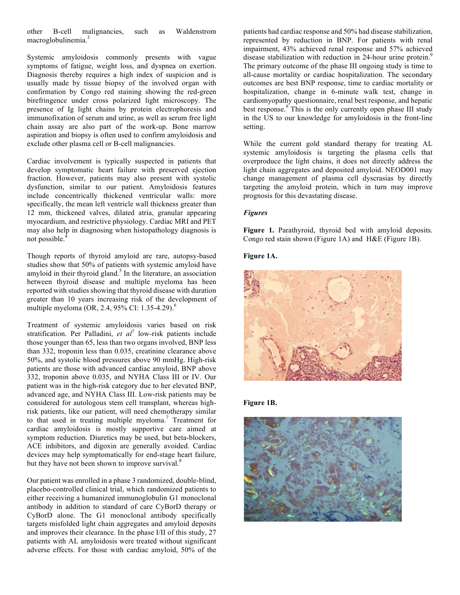other B-cell malignancies, such as Waldenstrom macroglobulinemia.<sup>3</sup>

Systemic amyloidosis commonly presents with vague symptoms of fatigue, weight loss, and dyspnea on exertion. Diagnosis thereby requires a high index of suspicion and is usually made by tissue biopsy of the involved organ with confirmation by Congo red staining showing the red-green birefringence under cross polarized light microscopy. The presence of Ig light chains by protein electrophoresis and immunofixation of serum and urine, as well as serum free light chain assay are also part of the work-up. Bone marrow aspiration and biopsy is often used to confirm amyloidosis and exclude other plasma cell or B-cell malignancies.

Cardiac involvement is typically suspected in patients that develop symptomatic heart failure with preserved ejection fraction. However, patients may also present with systolic dysfunction, similar to our patient. Amyloidosis features include concentrically thickened ventricular walls: more specifically, the mean left ventricle wall thickness greater than 12 mm, thickened valves, dilated atria, granular appearing myocardium, and restrictive physiology. Cardiac MRI and PET may also help in diagnosing when histopathology diagnosis is not possible. 4

Though reports of thyroid amyloid are rare, autopsy-based studies show that 50% of patients with systemic amyloid have amyloid in their thyroid gland. <sup>5</sup> In the literature, an association between thyroid disease and multiple myeloma has been reported with studies showing that thyroid disease with duration greater than 10 years increasing risk of the development of multiple myeloma (OR, 2.4, 95% CI: 1.35-4.29).<sup>6</sup>

Treatment of systemic amyloidosis varies based on risk stratification. Per Palladini, *et al*<sup>7</sup> low-risk patients include those younger than 65, less than two organs involved, BNP less than 332, troponin less than 0.035, creatinine clearance above 50%, and systolic blood pressures above 90 mmHg. High-risk patients are those with advanced cardiac amyloid, BNP above 332, troponin above 0.035, and NYHA Class III or IV. Our patient was in the high-risk category due to her elevated BNP, advanced age, and NYHA Class III. Low-risk patients may be considered for autologous stem cell transplant, whereas highrisk patients, like our patient, will need chemotherapy similar to that used in treating multiple myeloma. <sup>7</sup> Treatment for cardiac amyloidosis is mostly supportive care aimed at symptom reduction. Diuretics may be used, but beta-blockers, ACE inhibitors, and digoxin are generally avoided. Cardiac devices may help symptomatically for end-stage heart failure, but they have not been shown to improve survival.<sup>8</sup>

Our patient was enrolled in a phase 3 randomized, double-blind, placebo-controlled clinical trial, which randomized patients to either receiving a humanized immunoglobulin G1 monoclonal antibody in addition to standard of care CyBorD therapy or CyBorD alone. The G1 monoclonal antibody specifically targets misfolded light chain aggregates and amyloid deposits and improves their clearance. In the phase I/II of this study, 27 patients with AL amyloidosis were treated without significant adverse effects. For those with cardiac amyloid, 50% of the

patients had cardiac response and 50% had disease stabilization, represented by reduction in BNP. For patients with renal impairment, 43% achieved renal response and 57% achieved disease stabilization with reduction in 24-hour urine protein.<sup>9</sup> The primary outcome of the phase III ongoing study is time to all-cause mortality or cardiac hospitalization. The secondary outcomes are best BNP response, time to cardiac mortality or hospitalization, change in 6-minute walk test, change in cardiomyopathy questionnaire, renal best response, and hepatic best response.<sup>9</sup> This is the only currently open phase III study in the US to our knowledge for amyloidosis in the front-line setting.

While the current gold standard therapy for treating AL systemic amyloidosis is targeting the plasma cells that overproduce the light chains, it does not directly address the light chain aggregates and deposited amyloid. NEOD001 may change management of plasma cell dyscrasias by directly targeting the amyloid protein, which in turn may improve prognosis for this devastating disease.

# *Figures*

**Figure 1.** Parathyroid, thyroid bed with amyloid deposits. Congo red stain shown (Figure 1A) and H&E (Figure 1B).

## **Figure 1A.**



#### **Figure 1B.**